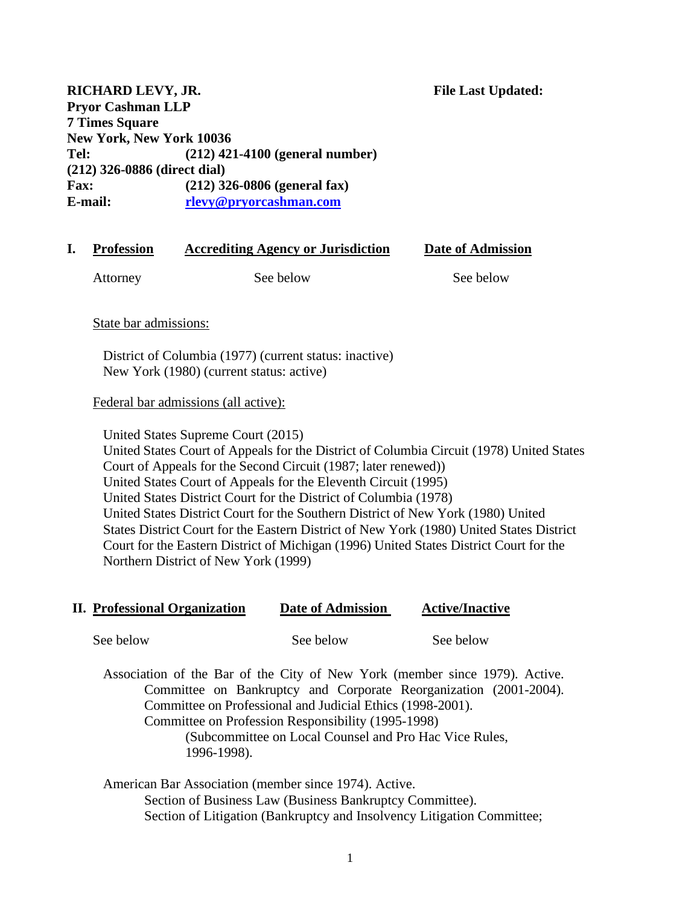**RICHARD LEVY, JR.** The Last Updated: **Pryor Cashman LLP 7 Times Square New York, New York 10036 Tel: (212) 421-4100 (general number) (212) 326-0886 (direct dial) Fax: (212) 326-0806 (general fax) E-mail: [rlevy@pryorcashman.com](mailto:rlevy@pryorcashman.com)**

# **I. Profession Accrediting Agency or Jurisdiction Date of Admission**  Attorney See below See below See below

State bar admissions:

District of Columbia (1977) (current status: inactive) New York (1980) (current status: active)

### Federal bar admissions (all active):

United States Supreme Court (2015)

United States Court of Appeals for the District of Columbia Circuit (1978) United States Court of Appeals for the Second Circuit (1987; later renewed)) United States Court of Appeals for the Eleventh Circuit (1995) United States District Court for the District of Columbia (1978) United States District Court for the Southern District of New York (1980) United States District Court for the Eastern District of New York (1980) United States District Court for the Eastern District of Michigan (1996) United States District Court for the Northern District of New York (1999)

### **II. Professional Organization Date of Admission Active/Inactive**

See below See below See below See below

Association of the Bar of the City of New York (member since 1979). Active. Committee on Bankruptcy and Corporate Reorganization (2001-2004). Committee on Professional and Judicial Ethics (1998-2001). Committee on Profession Responsibility (1995-1998) (Subcommittee on Local Counsel and Pro Hac Vice Rules, 1996-1998).

American Bar Association (member since 1974). Active. Section of Business Law (Business Bankruptcy Committee). Section of Litigation (Bankruptcy and Insolvency Litigation Committee;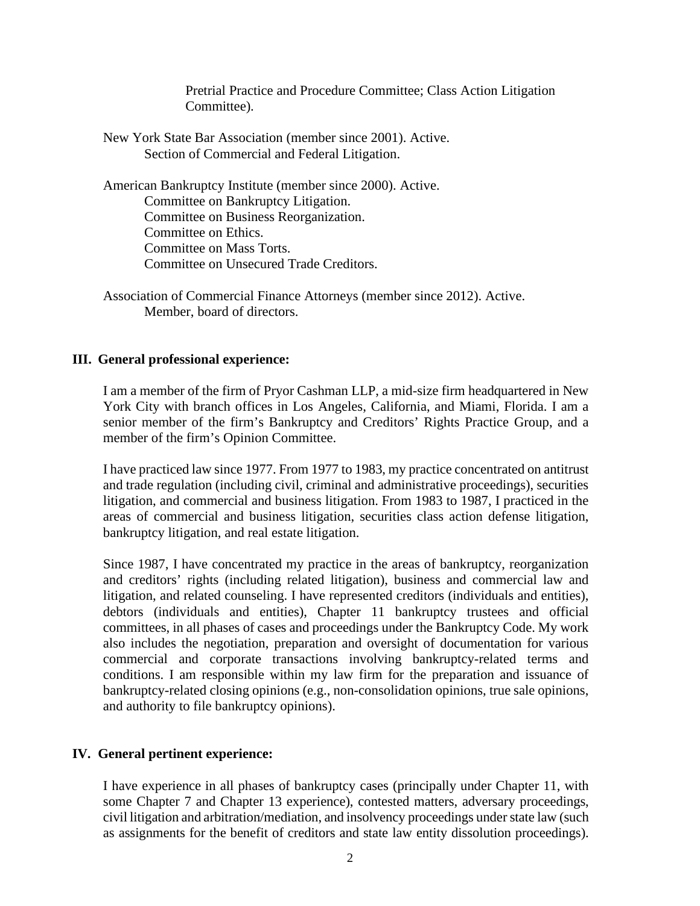Pretrial Practice and Procedure Committee; Class Action Litigation Committee).

New York State Bar Association (member since 2001). Active. Section of Commercial and Federal Litigation.

American Bankruptcy Institute (member since 2000). Active. Committee on Bankruptcy Litigation. Committee on Business Reorganization. Committee on Ethics. Committee on Mass Torts. Committee on Unsecured Trade Creditors.

Association of Commercial Finance Attorneys (member since 2012). Active. Member, board of directors.

#### **III. General professional experience:**

I am a member of the firm of Pryor Cashman LLP, a mid-size firm headquartered in New York City with branch offices in Los Angeles, California, and Miami, Florida. I am a senior member of the firm's Bankruptcy and Creditors' Rights Practice Group, and a member of the firm's Opinion Committee.

I have practiced law since 1977. From 1977 to 1983, my practice concentrated on antitrust and trade regulation (including civil, criminal and administrative proceedings), securities litigation, and commercial and business litigation. From 1983 to 1987, I practiced in the areas of commercial and business litigation, securities class action defense litigation, bankruptcy litigation, and real estate litigation.

Since 1987, I have concentrated my practice in the areas of bankruptcy, reorganization and creditors' rights (including related litigation), business and commercial law and litigation, and related counseling. I have represented creditors (individuals and entities), debtors (individuals and entities), Chapter 11 bankruptcy trustees and official committees, in all phases of cases and proceedings under the Bankruptcy Code. My work also includes the negotiation, preparation and oversight of documentation for various commercial and corporate transactions involving bankruptcy-related terms and conditions. I am responsible within my law firm for the preparation and issuance of bankruptcy-related closing opinions (e.g., non-consolidation opinions, true sale opinions, and authority to file bankruptcy opinions).

### **IV. General pertinent experience:**

I have experience in all phases of bankruptcy cases (principally under Chapter 11, with some Chapter 7 and Chapter 13 experience), contested matters, adversary proceedings, civil litigation and arbitration/mediation, and insolvency proceedings under state law (such as assignments for the benefit of creditors and state law entity dissolution proceedings).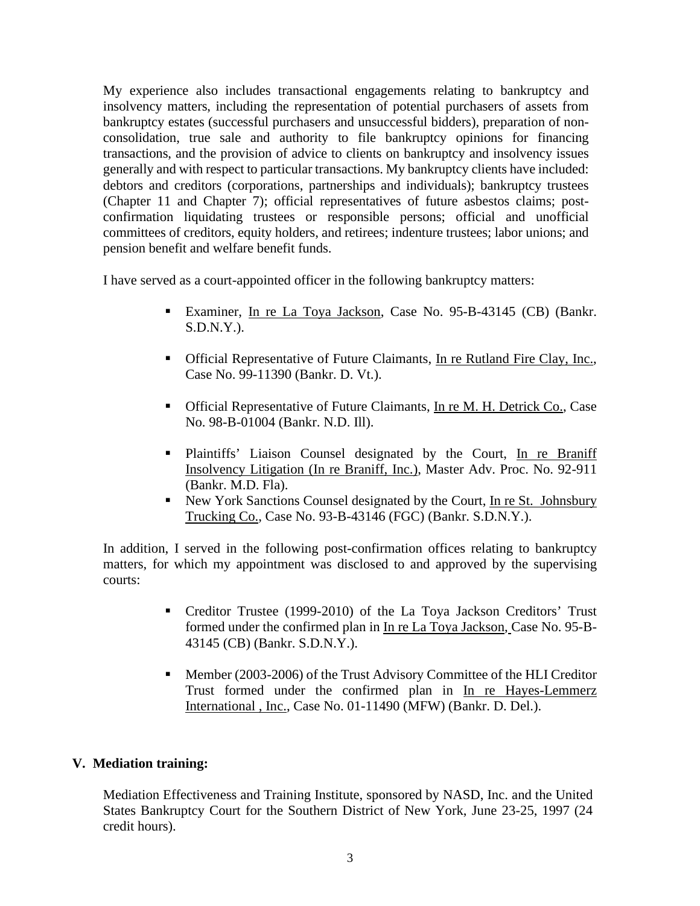My experience also includes transactional engagements relating to bankruptcy and insolvency matters, including the representation of potential purchasers of assets from bankruptcy estates (successful purchasers and unsuccessful bidders), preparation of nonconsolidation, true sale and authority to file bankruptcy opinions for financing transactions, and the provision of advice to clients on bankruptcy and insolvency issues generally and with respect to particular transactions. My bankruptcy clients have included: debtors and creditors (corporations, partnerships and individuals); bankruptcy trustees (Chapter 11 and Chapter 7); official representatives of future asbestos claims; postconfirmation liquidating trustees or responsible persons; official and unofficial committees of creditors, equity holders, and retirees; indenture trustees; labor unions; and pension benefit and welfare benefit funds.

I have served as a court-appointed officer in the following bankruptcy matters:

- Examiner, In re La Toya Jackson, Case No. 95-B-43145 (CB) (Bankr. S.D.N.Y.).
- Official Representative of Future Claimants, In re Rutland Fire Clay, Inc., Case No. 99-11390 (Bankr. D. Vt.).
- Official Representative of Future Claimants, In re M. H. Detrick Co., Case No. 98-B-01004 (Bankr. N.D. Ill).
- Plaintiffs' Liaison Counsel designated by the Court, In re Braniff Insolvency Litigation (In re Braniff, Inc.), Master Adv. Proc. No. 92-911 (Bankr. M.D. Fla).
- New York Sanctions Counsel designated by the Court, In re St. Johnsbury Trucking Co., Case No. 93-B-43146 (FGC) (Bankr. S.D.N.Y.).

In addition, I served in the following post-confirmation offices relating to bankruptcy matters, for which my appointment was disclosed to and approved by the supervising courts:

- Creditor Trustee (1999-2010) of the La Toya Jackson Creditors' Trust formed under the confirmed plan in In re La Toya Jackson, Case No. 95-B-43145 (CB) (Bankr. S.D.N.Y.).
- **Member (2003-2006) of the Trust Advisory Committee of the HLI Creditor** Trust formed under the confirmed plan in In re Hayes-Lemmerz International , Inc., Case No. 01-11490 (MFW) (Bankr. D. Del.).

### **V. Mediation training:**

Mediation Effectiveness and Training Institute, sponsored by NASD, Inc. and the United States Bankruptcy Court for the Southern District of New York, June 23-25, 1997 (24 credit hours).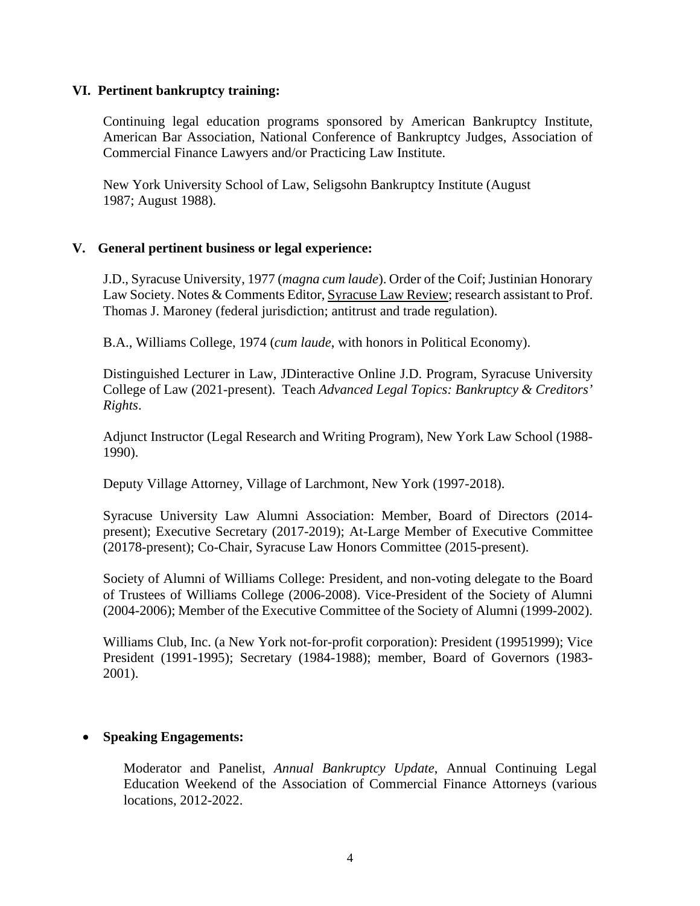### **VI. Pertinent bankruptcy training:**

Continuing legal education programs sponsored by American Bankruptcy Institute, American Bar Association, National Conference of Bankruptcy Judges, Association of Commercial Finance Lawyers and/or Practicing Law Institute.

New York University School of Law, Seligsohn Bankruptcy Institute (August 1987; August 1988).

### **V. General pertinent business or legal experience:**

J.D., Syracuse University, 1977 (*magna cum laude*). Order of the Coif; Justinian Honorary Law Society. Notes & Comments Editor, Syracuse Law Review; research assistant to Prof. Thomas J. Maroney (federal jurisdiction; antitrust and trade regulation).

B.A., Williams College, 1974 (*cum laude*, with honors in Political Economy).

Distinguished Lecturer in Law, JDinteractive Online J.D. Program, Syracuse University College of Law (2021-present). Teach *Advanced Legal Topics: Bankruptcy & Creditors' Rights*.

Adjunct Instructor (Legal Research and Writing Program), New York Law School (1988- 1990).

Deputy Village Attorney, Village of Larchmont, New York (1997-2018).

Syracuse University Law Alumni Association: Member, Board of Directors (2014 present); Executive Secretary (2017-2019); At-Large Member of Executive Committee (20178-present); Co-Chair, Syracuse Law Honors Committee (2015-present).

Society of Alumni of Williams College: President, and non-voting delegate to the Board of Trustees of Williams College (2006-2008). Vice-President of the Society of Alumni (2004-2006); Member of the Executive Committee of the Society of Alumni (1999-2002).

Williams Club, Inc. (a New York not-for-profit corporation): President (19951999); Vice President (1991-1995); Secretary (1984-1988); member, Board of Governors (1983- 2001).

### **Speaking Engagements:**

Moderator and Panelist, *Annual Bankruptcy Update*, Annual Continuing Legal Education Weekend of the Association of Commercial Finance Attorneys (various locations, 2012-2022.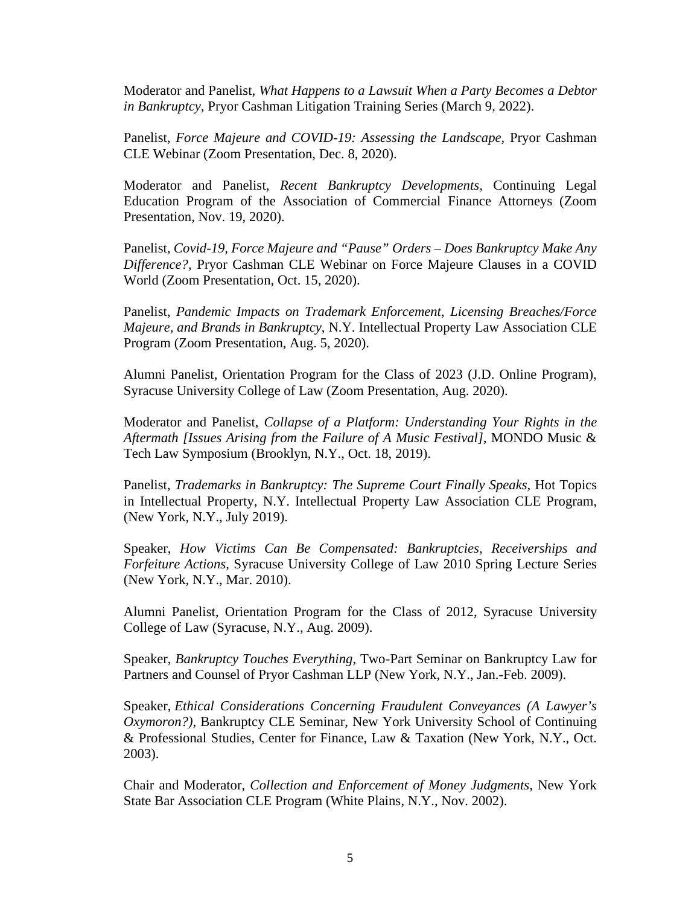Moderator and Panelist, *What Happens to a Lawsuit When a Party Becomes a Debtor in Bankruptcy,* Pryor Cashman Litigation Training Series (March 9, 2022).

Panelist, *Force Majeure and COVID-19: Assessing the Landscape*, Pryor Cashman CLE Webinar (Zoom Presentation, Dec. 8, 2020).

Moderator and Panelist, *Recent Bankruptcy Developments,* Continuing Legal Education Program of the Association of Commercial Finance Attorneys (Zoom Presentation, Nov. 19, 2020).

Panelist, *Covid-19, Force Majeure and "Pause" Orders – Does Bankruptcy Make Any Difference?,* Pryor Cashman CLE Webinar on Force Majeure Clauses in a COVID World (Zoom Presentation, Oct. 15, 2020).

Panelist, *Pandemic Impacts on Trademark Enforcement, Licensing Breaches/Force Majeure, and Brands in Bankruptcy*, N.Y. Intellectual Property Law Association CLE Program (Zoom Presentation, Aug. 5, 2020).

Alumni Panelist, Orientation Program for the Class of 2023 (J.D. Online Program), Syracuse University College of Law (Zoom Presentation, Aug. 2020).

Moderator and Panelist, *Collapse of a Platform: Understanding Your Rights in the Aftermath [Issues Arising from the Failure of A Music Festival],* MONDO Music & Tech Law Symposium (Brooklyn, N.Y., Oct. 18, 2019).

Panelist, *Trademarks in Bankruptcy: The Supreme Court Finally Speaks,* Hot Topics in Intellectual Property, N.Y. Intellectual Property Law Association CLE Program, (New York, N.Y., July 2019).

Speaker, *How Victims Can Be Compensated: Bankruptcies, Receiverships and Forfeiture Actions,* Syracuse University College of Law 2010 Spring Lecture Series (New York, N.Y., Mar. 2010).

Alumni Panelist, Orientation Program for the Class of 2012, Syracuse University College of Law (Syracuse, N.Y., Aug. 2009).

Speaker, *Bankruptcy Touches Everything*, Two-Part Seminar on Bankruptcy Law for Partners and Counsel of Pryor Cashman LLP (New York, N.Y., Jan.-Feb. 2009).

Speaker, *Ethical Considerations Concerning Fraudulent Conveyances (A Lawyer's Oxymoron?)*, Bankruptcy CLE Seminar, New York University School of Continuing & Professional Studies, Center for Finance, Law & Taxation (New York, N.Y., Oct. 2003).

Chair and Moderator, *Collection and Enforcement of Money Judgments*, New York State Bar Association CLE Program (White Plains, N.Y., Nov. 2002).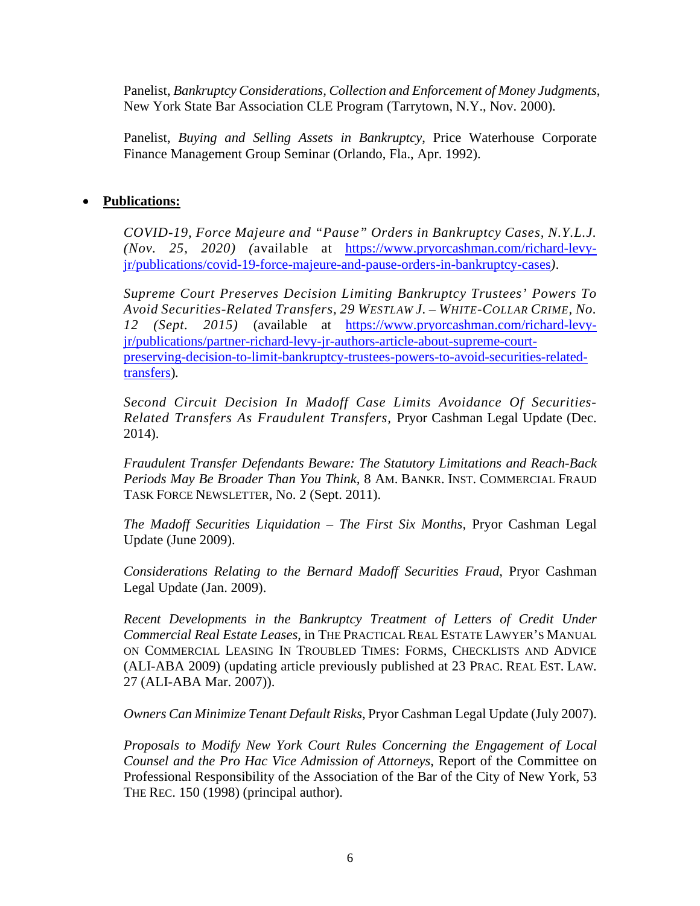Panelist, *Bankruptcy Considerations, Collection and Enforcement of Money Judgments*, New York State Bar Association CLE Program (Tarrytown, N.Y., Nov. 2000).

Panelist, *Buying and Selling Assets in Bankruptcy*, Price Waterhouse Corporate Finance Management Group Seminar (Orlando, Fla., Apr. 1992).

## **Publications:**

*COVID-19, Force Majeure and "Pause" Orders in Bankruptcy Cases, N.Y.L.J. (Nov. 25, 2020) (*available at [https://www.pryorcashman.com/richard-levy](https://www.pryorcashman.com/richard-levy-jr/publications/covid-19-force-majeure-and-pause-orders-in-bankruptcy-cases)[jr/publications/covid-19-force-majeure-and-pause-orders-in-bankruptcy-cases](https://www.pryorcashman.com/richard-levy-jr/publications/covid-19-force-majeure-and-pause-orders-in-bankruptcy-cases)*).*

*Supreme Court Preserves Decision Limiting Bankruptcy Trustees' Powers To Avoid Securities-Related Transfers, 29 WESTLAW J. – WHITE-COLLAR CRIME, No. 12 (Sept. 2015)* (available at [https://www.pryorcashman.com/richard-levy](https://www.pryorcashman.com/richard-levy-jr/publications/partner-richard-levy-jr-authors-article-about-supreme-court-preserving-decision-to-limit-bankruptcy-trustees-powers-to-avoid-securities-related-transfers)[jr/publications/partner-richard-levy-jr-authors-article-about-supreme-court](https://www.pryorcashman.com/richard-levy-jr/publications/partner-richard-levy-jr-authors-article-about-supreme-court-preserving-decision-to-limit-bankruptcy-trustees-powers-to-avoid-securities-related-transfers)[preserving-decision-to-limit-bankruptcy-trustees-powers-to-avoid-securities-related](https://www.pryorcashman.com/richard-levy-jr/publications/partner-richard-levy-jr-authors-article-about-supreme-court-preserving-decision-to-limit-bankruptcy-trustees-powers-to-avoid-securities-related-transfers)[transfers\)](https://www.pryorcashman.com/richard-levy-jr/publications/partner-richard-levy-jr-authors-article-about-supreme-court-preserving-decision-to-limit-bankruptcy-trustees-powers-to-avoid-securities-related-transfers)*.*

*Second Circuit Decision In Madoff Case Limits Avoidance Of Securities-Related Transfers As Fraudulent Transfers,* Pryor Cashman Legal Update (Dec. 2014).

*Fraudulent Transfer Defendants Beware: The Statutory Limitations and Reach-Back Periods May Be Broader Than You Think,* 8 AM. BANKR. INST. COMMERCIAL FRAUD TASK FORCE NEWSLETTER, No. 2 (Sept. 2011).

*The Madoff Securities Liquidation – The First Six Months,* Pryor Cashman Legal Update (June 2009).

*Considerations Relating to the Bernard Madoff Securities Fraud*, Pryor Cashman Legal Update (Jan. 2009).

*Recent Developments in the Bankruptcy Treatment of Letters of Credit Under Commercial Real Estate Leases*, in THE PRACTICAL REAL ESTATE LAWYER'S MANUAL ON COMMERCIAL LEASING IN TROUBLED TIMES: FORMS, CHECKLISTS AND ADVICE (ALI-ABA 2009) (updating article previously published at 23 PRAC. REAL EST. LAW*.* 27 (ALI-ABA Mar. 2007)).

*Owners Can Minimize Tenant Default Risks*, Pryor Cashman Legal Update (July 2007).

*Proposals to Modify New York Court Rules Concerning the Engagement of Local Counsel and the Pro Hac Vice Admission of Attorneys*, Report of the Committee on Professional Responsibility of the Association of the Bar of the City of New York, 53 THE REC. 150 (1998) (principal author).